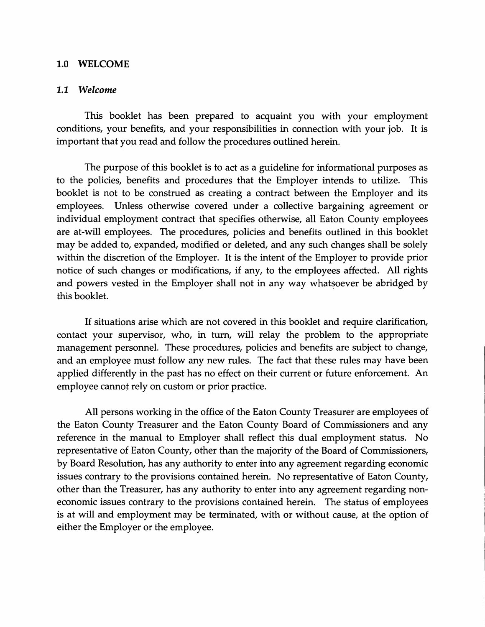## 1.0 WELCOME

## 1.1 *Welcome*

This booklet has been prepared to acquaint you with your employment conditions, your benefits, and your responsibilities in connection with your job. It is important that you read and follow the procedures outlined herein.

The purpose of this booklet is to act as a guideline for informational purposes as to the policies, benefits and procedures that the Employer intends to utilize. This booklet is not to be construed as creating a contract between the Employer and its employees. Unless otherwise covered under a collective bargaining agreement or individual employment contract that specifies otherwise, all Eaton County employees are at-will employees. The procedures, policies and benefits outlined in this booklet may be added to, expanded, modified or deleted, and any such changes shall be solely within the discretion of the Employer. It is the intent of the Employer to provide prior notice of such changes or modifications, if any, to the employees affected. All rights and powers vested in the Employer shall not in any way whatsoever be abridged by this booklet.

If situations arise which are not covered in this booklet and require clarification, contact your supervisor, who, in turn, will relay the problem to the appropriate management personnel. These procedures, policies and benefits are subject to change, and an employee must follow any new rules. The fact that these rules may have been applied differently in the past has no effect on their current or future enforcement. An employee cannot rely on custom or prior practice.

All persons working in the office of the Eaton County Treasurer are employees of the Eaton County Treasurer and the Eaton County Board of Commissioners and any reference in the manual to Employer shall reflect this dual employment status. No representative of Eaton County, other than the majority of the Board of Commissioners, by Board Resolution, has any authority to enter into any agreement regarding economic issues contrary to the provisions contained herein. No representative of Eaton County, other than the Treasurer, has any authority to enter into any agreement regarding noneconomic issues contrary to the provisions contained herein. The status of employees is at will and employment may be terminated, with or without cause, at the option of either the Employer or the employee.